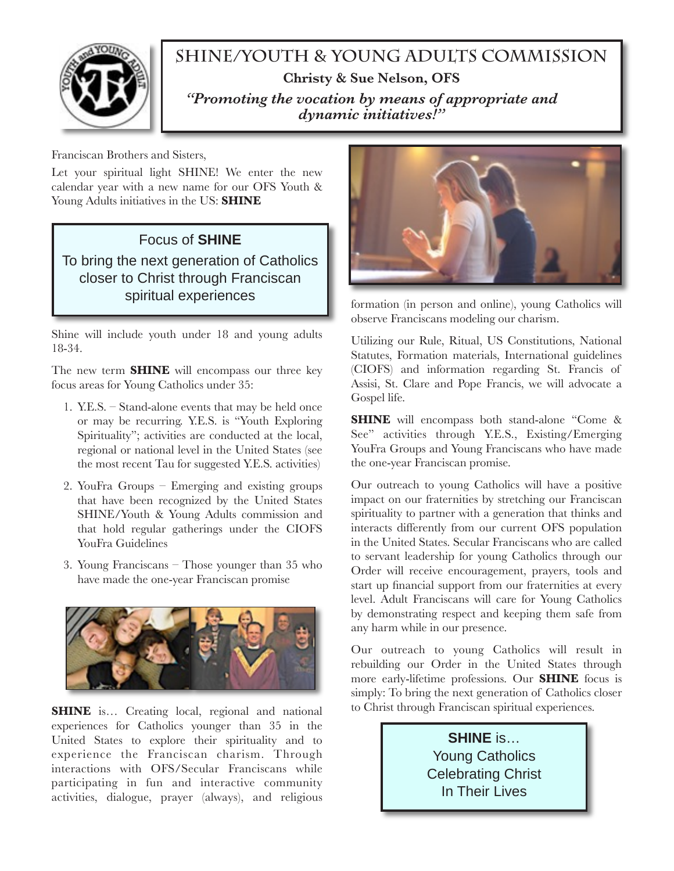

## **SHINE/Youth & Young Adults Commission Christy & Sue Nelson, OFS**  *"Promoting the vocation by means of appropriate and dynamic initiatives!"*

Franciscan Brothers and Sisters,

Let your spiritual light SHINE! We enter the new calendar year with a new name for our OFS Youth & Young Adults initiatives in the US: **SHINE** 

#### Focus of **SHINE**

To bring the next generation of Catholics closer to Christ through Franciscan spiritual experiences

Shine will include youth under 18 and young adults 18-34.

The new term **SHINE** will encompass our three key focus areas for Young Catholics under 35:

- 1. Y.E.S. Stand-alone events that may be held once or may be recurring. Y.E.S. is "Youth Exploring Spirituality"; activities are conducted at the local, regional or national level in the United States (see the most recent Tau for suggested Y.E.S. activities)
- 2. YouFra Groups Emerging and existing groups that have been recognized by the United States SHINE/Youth & Young Adults commission and that hold regular gatherings under the CIOFS YouFra Guidelines
- 3. Young Franciscans Those younger than 35 who have made the one-year Franciscan promise



**SHINE** is... Creating local, regional and national experiences for Catholics younger than 35 in the United States to explore their spirituality and to experience the Franciscan charism. Through interactions with OFS/Secular Franciscans while participating in fun and interactive community activities, dialogue, prayer (always), and religious



formation (in person and online), young Catholics will observe Franciscans modeling our charism.

Utilizing our Rule, Ritual, US Constitutions, National Statutes, Formation materials, International guidelines (CIOFS) and information regarding St. Francis of Assisi, St. Clare and Pope Francis, we will advocate a Gospel life.

**SHINE** will encompass both stand-alone "Come & See" activities through Y.E.S., Existing/Emerging YouFra Groups and Young Franciscans who have made the one-year Franciscan promise.

Our outreach to young Catholics will have a positive impact on our fraternities by stretching our Franciscan spirituality to partner with a generation that thinks and interacts differently from our current OFS population in the United States. Secular Franciscans who are called to servant leadership for young Catholics through our Order will receive encouragement, prayers, tools and start up financial support from our fraternities at every level. Adult Franciscans will care for Young Catholics by demonstrating respect and keeping them safe from any harm while in our presence.

Our outreach to young Catholics will result in rebuilding our Order in the United States through more early-lifetime professions. Our **SHINE** focus is simply: To bring the next generation of Catholics closer to Christ through Franciscan spiritual experiences.

> **SHINE** is… Young Catholics Celebrating Christ In Their Lives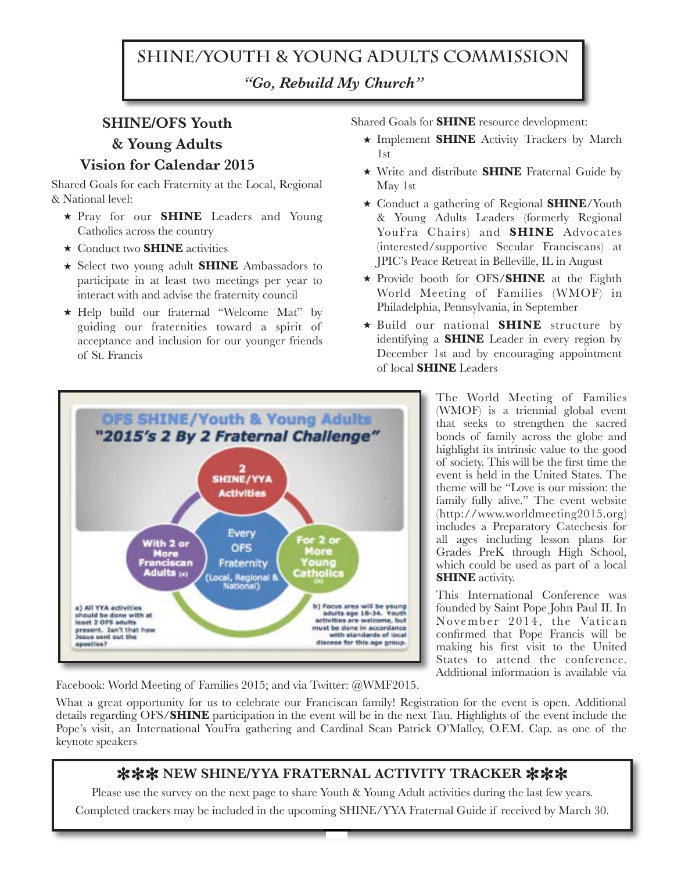# **SHINE/Youth & Young Adults Commission**  *"Go, Rebuild My Church"*

### **SHINE/OFS Youth & Young Adults Vision for Calendar 2015**

Shared Goals for each Fraternity at the Local, Regional & National level:

- ★ Pray for our **SHINE** Leaders and Young Catholics across the country
- ★ Conduct two **SHINE** activities
- ★ Select two young adult **SHINE** Ambassadors to participate in at least two meetings per year to interact with and advise the fraternity council
- ★ Help build our fraternal "Welcome Mat" by guiding our fraternities toward a spirit of acceptance and inclusion for our younger friends of St. Francis

Shared Goals for **SHINE** resource development:

- ★ Implement **SHINE** Activity Trackers by March 1st
- ★ Write and distribute **SHINE** Fraternal Guide by May 1st
- ★ Conduct a gathering of Regional **SHINE**/Youth & Young Adults Leaders (formerly Regional YouFra Chairs) and **SHINE** Advocates (interested/supportive Secular Franciscans) at JPIC's Peace Retreat in Belleville, IL in August
- ★ Provide booth for OFS/**SHINE** at the Eighth World Meeting of Families (WMOF) in Philadelphia, Pennsylvania, in September
- ★ Build our national **SHINE** structure by identifying a **SHINE** Leader in every region by December 1st and by encouraging appointment of local **SHINE** Leaders



The World Meeting of Families (WMOF) is a triennial global event that seeks to strengthen the sacred bonds of family across the globe and highlight its intrinsic value to the good of society. This will be the first time the event is held in the United States. The theme will be "Love is our mission: the family fully alive." The event website (http://www.worldmeeting2015.org) includes a Preparatory Catechesis for all ages including lesson plans for Grades PreK through High School, which could be used as part of a local **SHINE** activity.

This International Conference was founded by Saint Pope John Paul II. In November 2014, the Vatican confirmed that Pope Francis will be making his first visit to the United States to attend the conference. Additional information is available via

Facebook: World Meeting of Families 2015; and via Twitter: @WMF2015.

What a great opportunity for us to celebrate our Franciscan family! Registration for the event is open. Additional details regarding OFS/**SHINE** participation in the event will be in the next Tau. Highlights of the event include the Pope's visit, an International YouFra gathering and Cardinal Sean Patrick O'Malley, O.F.M. Cap. as one of the keynote speakers

#### **米米米 NEW SHINE/YYA FRATERNAL ACTIVITY TRACKER 米米米**

Please use the survey on the next page to share Youth & Young Adult activities during the last few years. Completed trackers may be included in the upcoming SHINE/YYA Fraternal Guide if received by March 30.